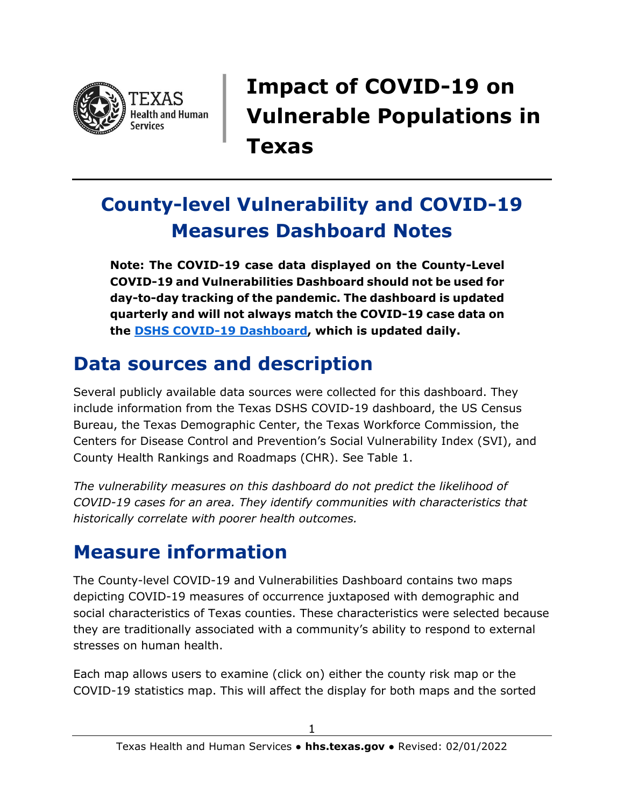

**Impact of COVID-19 on Vulnerable Populations in Texas**

# **County-level Vulnerability and COVID-19 Measures Dashboard Notes**

**Note: The COVID-19 case data displayed on the County-Level COVID-19 and Vulnerabilities Dashboard should not be used for day-to-day tracking of the pandemic. The dashboard is updated quarterly and will not always match the COVID-19 case data on the [DSHS COVID-19 Dashboard,](https://www.arcgis.com/apps/dashboards/45e18cba105c478697c76acbbf86a6bc) which is updated daily.**

### **Data sources and description**

Several publicly available data sources were collected for this dashboard. They include information from the Texas DSHS COVID-19 dashboard, the US Census Bureau, the Texas Demographic Center, the Texas Workforce Commission, the Centers for Disease Control and Prevention's Social Vulnerability Index (SVI), and County Health Rankings and Roadmaps (CHR). See Table 1.

*The vulnerability measures on this dashboard do not predict the likelihood of COVID-19 cases for an area. They identify communities with characteristics that historically correlate with poorer health outcomes.*

### **Measure information**

The County-level COVID-19 and Vulnerabilities Dashboard contains two maps depicting COVID-19 measures of occurrence juxtaposed with demographic and social characteristics of Texas counties. These characteristics were selected because they are traditionally associated with a community's ability to respond to external stresses on human health.

Each map allows users to examine (click on) either the county risk map or the COVID-19 statistics map. This will affect the display for both maps and the sorted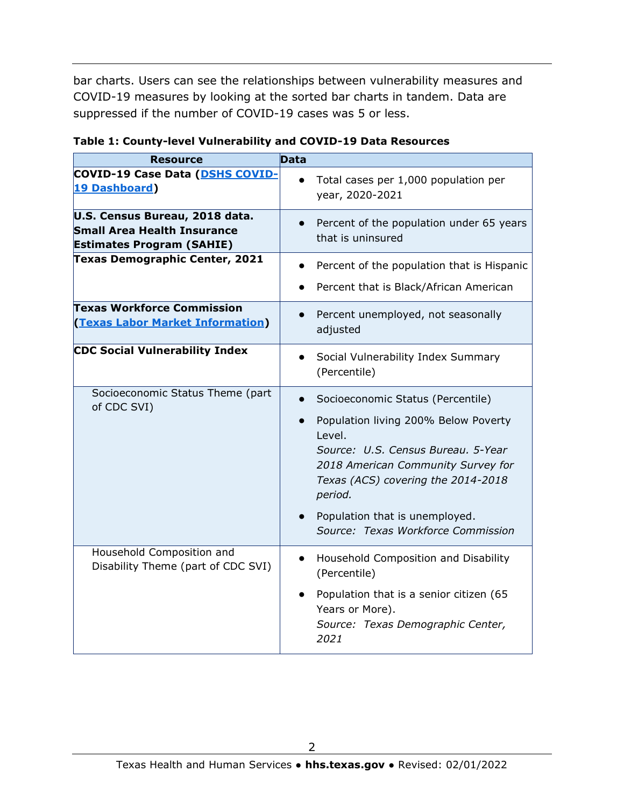bar charts. Users can see the relationships between vulnerability measures and COVID-19 measures by looking at the sorted bar charts in tandem. Data are suppressed if the number of COVID-19 cases was 5 or less.

| <b>Resource</b>                                                                                          | <b>Data</b>                                                                                                                                                                                                                                                                                                        |
|----------------------------------------------------------------------------------------------------------|--------------------------------------------------------------------------------------------------------------------------------------------------------------------------------------------------------------------------------------------------------------------------------------------------------------------|
| <b>COVID-19 Case Data (DSHS COVID-</b><br><b>19 Dashboard)</b>                                           | Total cases per 1,000 population per<br>year, 2020-2021                                                                                                                                                                                                                                                            |
| U.S. Census Bureau, 2018 data.<br><b>Small Area Health Insurance</b><br><b>Estimates Program (SAHIE)</b> | Percent of the population under 65 years<br>$\bullet$<br>that is uninsured                                                                                                                                                                                                                                         |
| <b>Texas Demographic Center, 2021</b>                                                                    | Percent of the population that is Hispanic<br>$\bullet$<br>Percent that is Black/African American                                                                                                                                                                                                                  |
| <b>Texas Workforce Commission</b><br><b>(Texas Labor Market Information)</b>                             | Percent unemployed, not seasonally<br>adjusted                                                                                                                                                                                                                                                                     |
| <b>CDC Social Vulnerability Index</b>                                                                    | Social Vulnerability Index Summary<br>$\bullet$<br>(Percentile)                                                                                                                                                                                                                                                    |
| Socioeconomic Status Theme (part<br>of CDC SVI)                                                          | Socioeconomic Status (Percentile)<br>$\bullet$<br>Population living 200% Below Poverty<br>$\bullet$<br>Level.<br>Source: U.S. Census Bureau. 5-Year<br>2018 American Community Survey for<br>Texas (ACS) covering the 2014-2018<br>period.<br>Population that is unemployed.<br>Source: Texas Workforce Commission |
| Household Composition and<br>Disability Theme (part of CDC SVI)                                          | Household Composition and Disability<br>$\bullet$<br>(Percentile)<br>Population that is a senior citizen (65<br>Years or More).<br>Source: Texas Demographic Center,<br>2021                                                                                                                                       |

#### **Table 1: County-level Vulnerability and COVID-19 Data Resources**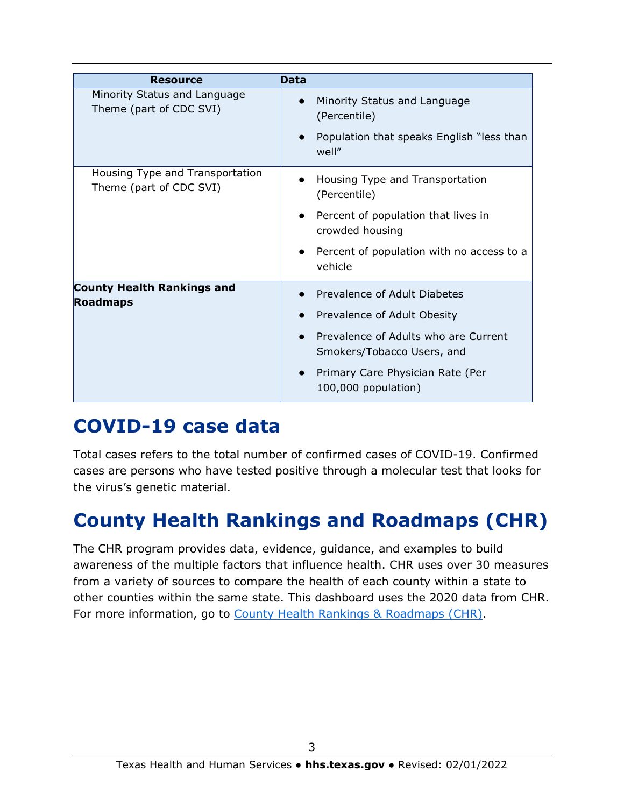| <b>Resource</b>                                            | <b>Data</b>                                                                                                                                                                                    |
|------------------------------------------------------------|------------------------------------------------------------------------------------------------------------------------------------------------------------------------------------------------|
| Minority Status and Language<br>Theme (part of CDC SVI)    | Minority Status and Language<br>(Percentile)<br>Population that speaks English "less than<br>well"                                                                                             |
| Housing Type and Transportation<br>Theme (part of CDC SVI) | Housing Type and Transportation<br>(Percentile)<br>Percent of population that lives in<br>crowded housing<br>Percent of population with no access to a<br>vehicle                              |
| <b>County Health Rankings and</b><br><b>Roadmaps</b>       | • Prevalence of Adult Diabetes<br>Prevalence of Adult Obesity<br>Prevalence of Adults who are Current<br>Smokers/Tobacco Users, and<br>Primary Care Physician Rate (Per<br>100,000 population) |

### **COVID-19 case data**

Total cases refers to the total number of confirmed cases of COVID-19. Confirmed cases are persons who have tested positive through a molecular test that looks for the virus's genetic material.

## **County Health Rankings and Roadmaps (CHR)**

The CHR program provides data, evidence, guidance, and examples to build awareness of the multiple factors that influence health. CHR uses over 30 measures from a variety of sources to compare the health of each county within a state to other counties within the same state. This dashboard uses the 2020 data from CHR. For more information, go to [County Health Rankings & Roadmaps \(CHR\).](https://www.countyhealthrankings.org/app/texas/2020/overview)